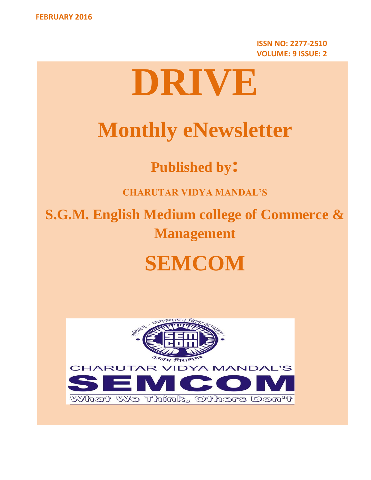**ISSN NO: 2277-2510 VOLUME: 9 ISSUE: 2**

# **DRIVE**

# **Monthly eNewsletter**

**Published by:**

**CHARUTAR VIDYA MANDAL'S**

**S.G.M. English Medium college of Commerce & Management**

# **SEMCOM**

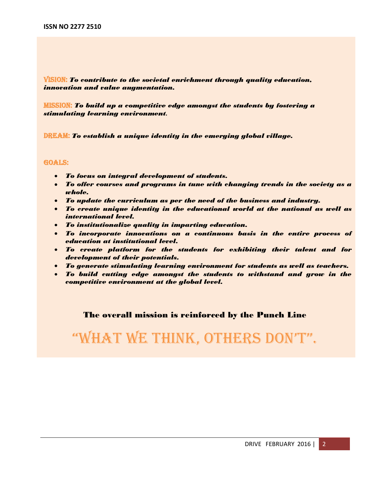VISION: *To contribute to the societal enrichment through quality education, innovation and value augmentation.*

MISSION: *To build up a competitive edge amongst the students by fostering a stimulating learning environment.*

DREAM: *To establish a unique identity in the emerging global village.*

#### GOALS:

- *To focus on integral development of students.*
- *To offer courses and programs in tune with changing trends in the society as a whole.*
- *To update the curriculum as per the need of the business and industry.*
- *To create unique identity in the educational world at the national as well as international level.*
- *To institutionalize quality in imparting education.*
- *To incorporate innovations on a continuous basis in the entire process of education at institutional level.*
- *To create platform for the students for exhibiting their talent and for development of their potentials.*
- *To generate stimulating learning environment for students as well as teachers.*
- *To build cutting edge amongst the students to withstand and grow in the competitive environment at the global level.*

### The overall mission is reinforced by the Punch Line

### "What We think, Others DOn't".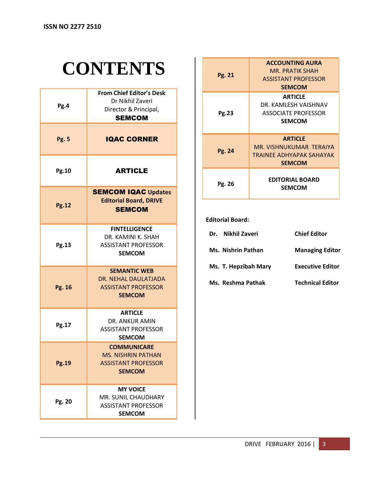# **CONTENTS**

| Pg.4         | <b>From Chief Editor's Desk</b><br>Dr Nikhil Zaveri<br>Director & Principal,<br><b>SEMCOM</b>  |  |  |  |
|--------------|------------------------------------------------------------------------------------------------|--|--|--|
| <b>Pg. 5</b> | <b>IQAC CORNER</b>                                                                             |  |  |  |
| <b>Pg.10</b> | <b>ARTICLE</b>                                                                                 |  |  |  |
| <b>Pg.12</b> | <b>SEMCOM IQAC Updates</b><br><b>Editorial Board, DRIVE</b><br><b>SEMCOM</b>                   |  |  |  |
| Pg.13        | <b>FINTELLIGENCE</b><br>DR. KAMINI K. SHAH<br><b>ASSISTANT PROFESSOR</b><br><b>SEMCOM</b>      |  |  |  |
| Pg. 16       | <b>SEMANTIC WEB</b><br>DR. NEHAL DAULATJADA<br><b>ASSISTANT PROFESSOR</b><br><b>SEMCOM</b>     |  |  |  |
| Pg.17        | <b>ARTICLE</b><br>DR. ANKUR AMIN<br><b>ASSISTANT PROFFSSOR</b><br><b>SEMCOM</b>                |  |  |  |
| <b>Pg.19</b> | <b>COMMUNICARE</b><br><b>MS. NISHRIN PATHAN</b><br><b>ASSISTANT PROFESSOR</b><br><b>SEMCOM</b> |  |  |  |
| Pg. 20       | <b>MY VOICE</b><br>MR. SUNIL CHAUDHARY<br><b>ASSISTANT PROFESSOR</b><br><b>SEMCOM</b>          |  |  |  |

| Pg. 21 | <b>ACCOUNTING AURA</b>          |
|--------|---------------------------------|
|        | MR. PRATIK SHAH                 |
|        | <b>ASSISTANT PROFESSOR</b>      |
| Pg.23  | <b>SEMCOM</b>                   |
|        | <b>ARTICLE</b>                  |
|        | DR. KAMLESH VAISHNAV            |
|        | <b>ASSOCIATE PROFESSOR</b>      |
|        | <b>SEMCOM</b>                   |
|        |                                 |
|        |                                 |
|        | <b>ARTICLE</b>                  |
|        | MR. VISHNUKUMAR TERAIYA         |
| Pg. 24 | <b>TRAINEE ADHYAPAK SAHAYAK</b> |
|        | <b>SEMCOM</b>                   |
|        |                                 |
|        | <b>EDITORIAL BOARD</b>          |
| Pg. 26 | <b>SEMCOM</b>                   |

### **Editorial Board:**

| Nikhil Zaveri<br>Dr. . | <b>Chief Editor</b>     |
|------------------------|-------------------------|
| Ms. Nishrin Pathan     | <b>Managing Editor</b>  |
| Ms. T. Hepzibah Mary   | <b>Executive Editor</b> |
| Ms. Reshma Pathak      | <b>Technical Editor</b> |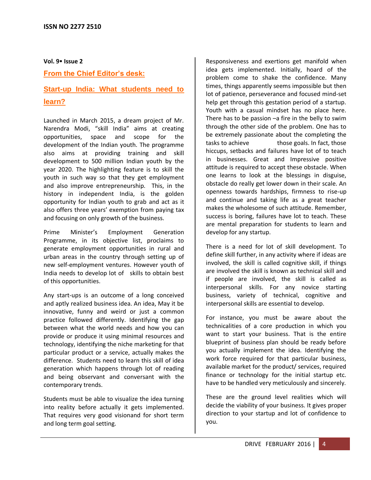**Vol. 9 Issue 2**

**From the Chief Editor's desk:**

### **Start-up India: What students need to learn?**

Launched in March 2015, a dream project of Mr. Narendra Modi, "skill India" aims at creating opportunities, space and scope for the development of the Indian youth. The programme also aims at providing training and skill development to 500 million Indian youth by the year 2020. The highlighting feature is to skill the youth in such way so that they get employment and also improve entrepreneurship. This, in the history in independent India, is the golden opportunity for Indian youth to grab and act as it also offers three years' exemption from paying tax and focusing on only growth of the business.

Prime Minister's Employment Generation Programme, in its objective list, proclaims to generate employment opportunities in rural and urban areas in the country through setting up of new self-employment ventures. However youth of India needs to develop lot of skills to obtain best of this opportunities.

Any start-ups is an outcome of a long conceived and aptly realized business idea. An idea, May it be innovative, funny and weird or just a common practice followed differently. Identifying the gap between what the world needs and how you can provide or produce it using minimal resources and technology, identifying the niche marketing for that particular product or a service, actually makes the difference. Students need to learn this skill of idea generation which happens through lot of reading and being observant and conversant with the contemporary trends.

Students must be able to visualize the idea turning into reality before actually it gets implemented. That requires very good visionand for short term and long term goal setting.

Responsiveness and exertions get manifold when idea gets implemented. Initially, hoard of the problem come to shake the confidence. Many times, things apparently seems impossible but then lot of patience, perseverance and focused mind-set help get through this gestation period of a startup. Youth with a casual mindset has no place here. There has to be passion  $-a$  fire in the belly to swim through the other side of the problem. One has to be extremely passionate about the completing the tasks to achieve those goals. In fact, those hiccups, setbacks and failures have lot of to teach in businesses. Great and Impressive positive attitude is required to accept these obstacle. When one learns to look at the blessings in disguise, obstacle do really get lower down in their scale. An openness towards hardships, firmness to rise-up and continue and taking life as a great teacher makes the wholesome of such attitude. Remember, success is boring, failures have lot to teach. These are mental preparation for students to learn and develop for any startup.

There is a need for lot of skill development. To define skill further, in any activity where if ideas are involved, the skill is called cognitive skill, if things are involved the skill is known as technical skill and if people are involved, the skill is called as interpersonal skills. For any novice starting business, variety of technical, cognitive and interpersonal skills are essential to develop.

For instance, you must be aware about the technicalities of a core production in which you want to start your business. That is the entire blueprint of business plan should be ready before you actually implement the idea. Identifying the work force required for that particular business, available market for the product/ services, required finance or technology for the initial startup etc. have to be handled very meticulously and sincerely.

These are the ground level realities which will decide the viability of your business. It gives proper direction to your startup and lot of confidence to you.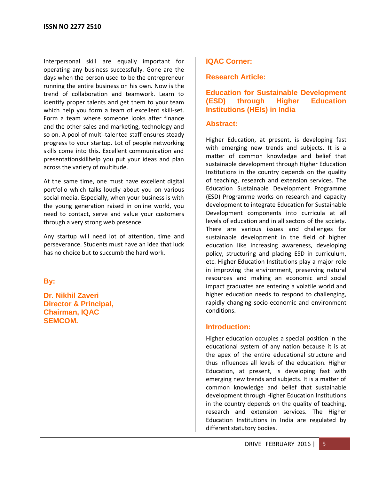Interpersonal skill are equally important for operating any business successfully. Gone are the days when the person used to be the entrepreneur running the entire business on his own. Now is the trend of collaboration and teamwork. Learn to identify proper talents and get them to your team which help you form a team of excellent skill-set. Form a team where someone looks after finance and the other sales and marketing, technology and so on. A pool of multi-talented staff ensures steady progress to your startup. Lot of people networking skills come into this. Excellent communication and presentationskillhelp you put your ideas and plan across the variety of multitude.

At the same time, one must have excellent digital portfolio which talks loudly about you on various social media. Especially, when your business is with the young generation raised in online world, you need to contact, serve and value your customers through a very strong web presence.

Any startup will need lot of attention, time and perseverance. Students must have an idea that luck has no choice but to succumb the hard work.

**By:**

**Dr. Nikhil Zaveri Director & Principal, Chairman, IQAC SEMCOM.**

### **IQAC Corner:**

### **Research Article:**

### **Education for Sustainable Development (ESD) through Higher Education Institutions (HEIs) in India**

### **Abstract:**

Higher Education, at present, is developing fast with emerging new trends and subjects. It is a matter of common knowledge and belief that sustainable development through Higher Education Institutions in the country depends on the quality of teaching, research and extension services. The Education Sustainable Development Programme (ESD) Programme works on research and capacity development to integrate Education for Sustainable Development components into curricula at all levels of education and in all sectors of the society. There are various issues and challenges for sustainable development in the field of higher education like increasing awareness, developing policy, structuring and placing ESD in curriculum, etc. Higher Education Institutions play a major role in improving the environment, preserving natural resources and making an economic and social impact graduates are entering a volatile world and higher education needs to respond to challenging, rapidly changing socio-economic and environment conditions.

### **Introduction:**

Higher education occupies a special position in the educational system of any nation because it is at the apex of the entire educational structure and thus influences all levels of the education. Higher Education, at present, is developing fast with emerging new trends and subjects. It is a matter of common knowledge and belief that sustainable development through Higher Education Institutions in the country depends on the quality of teaching, research and extension services. The Higher Education Institutions in India are regulated by different statutory bodies.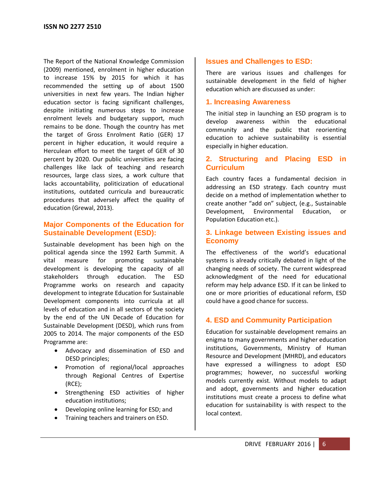The Report of the National Knowledge Commission (2009) mentioned, enrolment in higher education to increase 15% by 2015 for which it has recommended the setting up of about 1500 universities in next few years. The Indian higher education sector is facing significant challenges, despite initiating numerous steps to increase enrolment levels and budgetary support, much remains to be done. Though the country has met the target of Gross Enrolment Ratio (GER) 17 percent in higher education, it would require a Herculean effort to meet the target of GER of 30 percent by 2020. Our public universities are facing challenges like lack of teaching and research resources, large class sizes, a work culture that lacks accountability, politicization of educational institutions, outdated curricula and bureaucratic procedures that adversely affect the quality of education (Grewal, 2013).

### **Major Components of the Education for Sustainable Development (ESD):**

Sustainable development has been high on the political agenda since the 1992 Earth Summit. A vital measure for promoting sustainable development is developing the capacity of all stakeholders through education. The ESD Programme works on research and capacity development to integrate Education for Sustainable Development components into curricula at all levels of education and in all sectors of the society by the end of the UN Decade of Education for Sustainable Development (DESD), which runs from 2005 to 2014. The major components of the ESD Programme are:

- Advocacy and dissemination of ESD and DESD principles;
- Promotion of regional/local approaches through Regional Centres of Expertise (RCE);
- Strengthening ESD activities of higher education institutions;
- Developing online learning for ESD; and
- **•** Training teachers and trainers on ESD.

### **Issues and Challenges to ESD:**

There are various issues and challenges for sustainable development in the field of higher education which are discussed as under:

### **1. Increasing Awareness**

The initial step in launching an ESD program is to develop awareness within the educational community and the public that reorienting education to achieve sustainability is essential especially in higher education.

### **2. Structuring and Placing ESD in Curriculum**

Each country faces a fundamental decision in addressing an ESD strategy. Each country must decide on a method of implementation whether to create another "add on" subject, (e.g., Sustainable Development, Environmental Education, or Population Education etc.).

### **3. Linkage between Existing issues and Economy**

The effectiveness of the world's educational systems is already critically debated in light of the changing needs of society. The current widespread acknowledgment of the need for educational reform may help advance ESD. If it can be linked to one or more priorities of educational reform, ESD could have a good chance for success.

### **4. ESD and Community Participation**

Education for sustainable development remains an enigma to many governments and higher education institutions, Governments, Ministry of Human Resource and Development (MHRD), and educators have expressed a willingness to adopt ESD programmes; however, no successful working models currently exist. Without models to adapt and adopt, governments and higher education institutions must create a process to define what education for sustainability is with respect to the local context.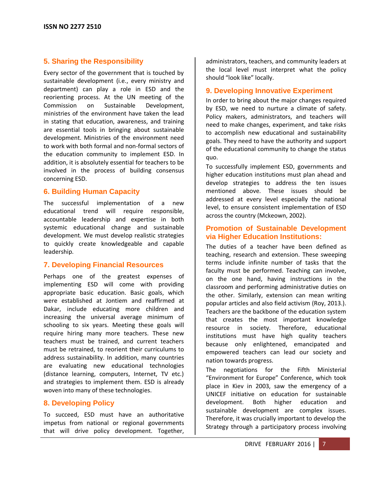### **5. Sharing the Responsibility**

Every sector of the government that is touched by sustainable development (i.e., every ministry and department) can play a role in ESD and the reorienting process. At the UN meeting of the Commission on Sustainable Development, ministries of the environment have taken the lead in stating that education, awareness, and training are essential tools in bringing about sustainable development. Ministries of the environment need to work with both formal and non-formal sectors of the education community to implement ESD. In addition, it is absolutely essential for teachers to be involved in the process of building consensus concerning ESD.

### **6. Building Human Capacity**

The successful implementation of a new educational trend will require responsible, accountable leadership and expertise in both systemic educational change and sustainable development. We must develop realistic strategies to quickly create knowledgeable and capable leadership.

### **7. Developing Financial Resources**

Perhaps one of the greatest expenses of implementing ESD will come with providing appropriate basic education. Basic goals, which were established at Jontiem and reaffirmed at Dakar, include educating more children and increasing the universal average minimum of schooling to six years. Meeting these goals will require hiring many more teachers. These new teachers must be trained, and current teachers must be retrained, to reorient their curriculums to address sustainability. In addition, many countries are evaluating new educational technologies (distance learning, computers, Internet, TV etc.) and strategies to implement them. ESD is already woven into many of these technologies.

### **8. Developing Policy**

To succeed, ESD must have an authoritative impetus from national or regional governments that will drive policy development. Together,

administrators, teachers, and community leaders at the local level must interpret what the policy should "look like" locally.

### **9. Developing Innovative Experiment**

In order to bring about the major changes required by ESD, we need to nurture a climate of safety. Policy makers, administrators, and teachers will need to make changes, experiment, and take risks to accomplish new educational and sustainability goals. They need to have the authority and support of the educational community to change the status quo.

To successfully implement ESD, governments and higher education institutions must plan ahead and develop strategies to address the ten issues mentioned above. These issues should be addressed at every level especially the national level, to ensure consistent implementation of ESD across the country (Mckeown, 2002).

### **Promotion of Sustainable Development via Higher Education Institutions:**

The duties of a teacher have been defined as teaching, research and extension. These sweeping terms include infinite number of tasks that the faculty must be performed. Teaching can involve, on the one hand, having instructions in the classroom and performing administrative duties on the other. Similarly, extension can mean writing popular articles and also field activism (Roy, 2013.). Teachers are the backbone of the education system that creates the most important knowledge resource in society. Therefore, educational institutions must have high quality teachers because only enlightened, emancipated and empowered teachers can lead our society and nation towards progress.

The negotiations for the Fifth Ministerial "Environment for Europe" Conference, which took place in Kiev in 2003, saw the emergency of a UNICEF initiative on education for sustainable development. Both higher education and sustainable development are complex issues. Therefore, it was crucially important to develop the Strategy through a participatory process involving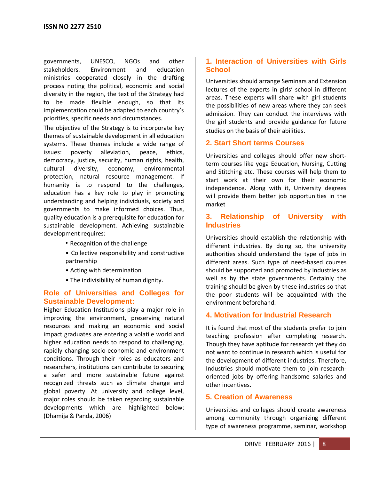governments, UNESCO, NGOs and other stakeholders. Environment and education ministries cooperated closely in the drafting process noting the political, economic and social diversity in the region, the text of the Strategy had to be made flexible enough, so that its implementation could be adapted to each country's priorities, specific needs and circumstances.

The objective of the Strategy is to incorporate key themes of sustainable development in all education systems. These themes include a wide range of issues: poverty alleviation, peace, ethics, democracy, justice, security, human rights, health, cultural diversity, economy, environmental protection, natural resource management. If humanity is to respond to the challenges, education has a key role to play in promoting understanding and helping individuals, society and governments to make informed choices. Thus, quality education is a prerequisite for education for sustainable development. Achieving sustainable development requires:

- Recognition of the challenge
- Collective responsibility and constructive partnership
- Acting with determination
- The indivisibility of human dignity.

### **Role of Universities and Colleges for Sustainable Development:**

Higher Education Institutions play a major role in improving the environment, preserving natural resources and making an economic and social impact graduates are entering a volatile world and higher education needs to respond to challenging, rapidly changing socio-economic and environment conditions. Through their roles as educators and researchers, institutions can contribute to securing a safer and more sustainable future against recognized threats such as climate change and global poverty. At university and college level, major roles should be taken regarding sustainable developments which are highlighted below: (Dhamija & Panda, 2006)

### **1. Interaction of Universities with Girls School**

Universities should arrange Seminars and Extension lectures of the experts in girls' school in different areas. These experts will share with girl students the possibilities of new areas where they can seek admission. They can conduct the interviews with the girl students and provide guidance for future studies on the basis of their abilities.

### **2. Start Short terms Courses**

Universities and colleges should offer new shortterm courses like yoga Education, Nursing, Cutting and Stitching etc. These courses will help them to start work at their own for their economic independence. Along with it, University degrees will provide them better job opportunities in the market

### **3. Relationship of University with Industries**

Universities should establish the relationship with different industries. By doing so, the university authorities should understand the type of jobs in different areas. Such type of need-based courses should be supported and promoted by industries as well as by the state governments. Certainly the training should be given by these industries so that the poor students will be acquainted with the environment beforehand.

### **4. Motivation for Industrial Research**

It is found that most of the students prefer to join teaching profession after completing research. Though they have aptitude for research yet they do not want to continue in research which is useful for the development of different industries. Therefore, Industries should motivate them to join researchoriented jobs by offering handsome salaries and other incentives.

### **5. Creation of Awareness**

Universities and colleges should create awareness among community through organizing different type of awareness programme, seminar, workshop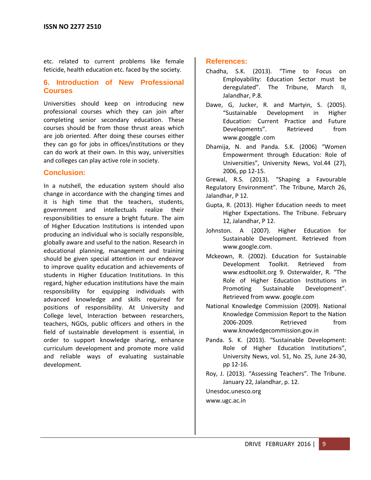etc. related to current problems like female feticide, health education etc. faced by the society.

### **6. Introduction of New Professional Courses**

Universities should keep on introducing new professional courses which they can join after completing senior secondary education. These courses should be from those thrust areas which are job oriented. After doing these courses either they can go for jobs in offices/institutions or they can do work at their own. In this way, universities and colleges can play active role in society.

### **Conclusion:**

In a nutshell, the education system should also change in accordance with the changing times and it is high time that the teachers, students, government and intellectuals realize their responsibilities to ensure a bright future. The aim of Higher Education Institutions is intended upon producing an individual who is socially responsible, globally aware and useful to the nation. Research in educational planning, management and training should be given special attention in our endeavor to improve quality education and achievements of students in Higher Education Institutions. In this regard, higher education institutions have the main responsibility for equipping individuals with advanced knowledge and skills required for positions of responsibility. At University and College level, Interaction between researchers, teachers, NGOs, public officers and others in the field of sustainable development is essential, in order to support knowledge sharing, enhance curriculum development and promote more valid and reliable ways of evaluating sustainable development.

### **References:**

- Chadha, S.K. (2013). "Time to Focus on Employability: Education Sector must be deregulated". The Tribune, March II, Jalandhar, P.8.
- Dawe, G, Jucker, R. and Martyin, S. (2005). "Sustainable Development in Higher Education: Current Practice and Future Developments". Retrieved from www.googgle .com
- Dhamija, N. and Panda. S.K. (2006) "Women Empowerment through Education: Role of Universities", University News, Vol.44 (27), 2006, pp 12-15.

Grewal, R.S. (2013). "Shaping a Favourable Regulatory Environment". The Tribune, March 26, Jalandhar, P 12.

- Gupta, R. (2013). Higher Education needs to meet Higher Expectations. The Tribune. February 12, Jalandhar, P 12.
- Johnston. A (2007). Higher Education for Sustainable Development. Retrieved from www.google.com.
- Mckeown, R. (2002). Education for Sustainable Development Toolkit. Retrieved from www.esdtoolkit.org 9. Osterwalder, R. "The Role of Higher Education Institutions in Promoting Sustainable Development". Retrieved from www. google.com
- National Knowledge Commission (2009). National Knowledge Commission Report to the Nation 2006-2009. Retrieved from www.knowledgecommission.gov.in
- Panda. S. K. (2013). "Sustainable Development: Role of Higher Education Institutions", University News, vol. 51, No. 25, June 24-30, pp 12-16.
- Roy, J. (2013). "Assessing Teachers". The Tribune. January 22, Jalandhar, p. 12.

Unesdoc.unesco.org

[www.ugc.ac.in](http://www.ugc.ac.in/)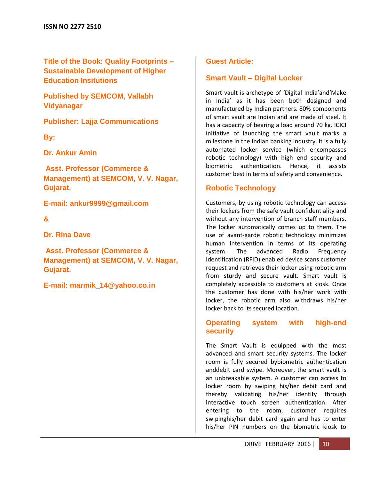**Title of the Book: Quality Footprints – Sustainable Development of Higher Education Insitutions**

**Published by SEMCOM, Vallabh Vidyanagar**

**Publisher: Lajja Communications**

**By:** 

**Dr. Ankur Amin**

**Asst. Professor (Commerce & Management) at SEMCOM, V. V. Nagar, Gujarat.** 

**E-mail: ankur9999@gmail.com** 

### **&**

**Dr. Rina Dave**

**Asst. Professor (Commerce & Management) at SEMCOM, V. V. Nagar, Gujarat.** 

**E-mail: [marmik\\_14@yahoo.co.in](mailto:marmik_14@yahoo.co.in)**

### **Guest Article:**

### **Smart Vault – Digital Locker**

Smart vault is archetype of 'Digital India'and'Make in India' as it has been both designed and manufactured by Indian partners. 80% components of smart vault are Indian and are made of steel. It has a capacity of bearing a load around 70 kg. ICICI initiative of launching the smart vault marks a milestone in the Indian banking industry. It is a fully automated locker service (which encompasses robotic technology) with high end security and biometric authentication. Hence, it assists customer best in terms of safety and convenience.

### **Robotic Technology**

Customers, by using robotic technology can access their lockers from the safe vault confidentiality and without any intervention of branch staff members. The locker automatically comes up to them. The use of avant-garde robotic technology minimizes human intervention in terms of its operating system. The advanced Radio Frequency Identification (RFID) enabled device scans customer request and retrieves their locker using robotic arm from sturdy and secure vault. Smart vault is completely accessible to customers at kiosk. Once the customer has done with his/her work with locker, the robotic arm also withdraws his/her locker back to its secured location.

### **Operating system with high-end security**

The Smart Vault is equipped with the most advanced and smart security systems. The locker room is fully secured bybiometric authentication anddebit card swipe. Moreover, the smart vault is an unbreakable system. A customer can access to locker room by swiping his/her debit card and thereby validating his/her identity through interactive touch screen authentication. After entering to the room, customer requires swipinghis/her debit card again and has to enter his/her PIN numbers on the biometric kiosk to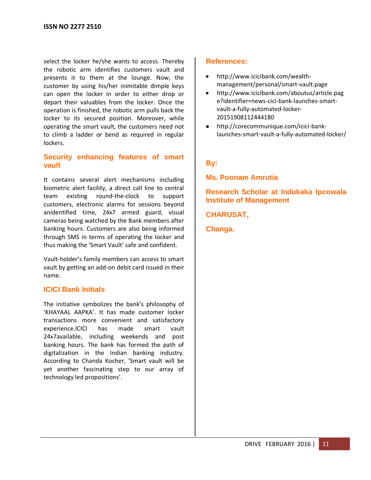select the locker he/she wants to access. Thereby the robotic arm identifies customers vault and presents it to them at the lounge. Now, the customer by using his/her inimitable dimple keys can open the locker in order to either drop or depart their valuables from the locker. Once the operation is finished, the robotic arm pulls back the locker to its secured position. Moreover, while operating the smart vault, the customers need not to climb a ladder or bend as required in regular lockers.

### **Security enhancing features of smart vault**

It contains several alert mechanisms including biometric alert facility, a direct call line to central team existing round-the-clock to support customers, electronic alarms for sessions beyond anidentified time, 24x7 armed guard, visual cameras being watched by the Bank members after banking hours. Customers are also being informed through SMS in terms of operating the locker and thus making the 'Smart Vault' safe and confident.

Vault-holder's family members can access to smart vault by getting an add-on debit card issued in their name.

### **ICICI Bank Initials**

The initiative symbolizes the bank's philosophy of 'KHAYAAL AAPKA'. It has made customer locker transactions more convenient and satisfactory experience.ICICI has made smart vault 24x7available, including weekends and post banking hours. The bank has formed the path of digitalization in the Indian banking industry. According to Chanda Kocher, 'Smart vault will be yet another fascinating step to our array of technology led propositions'.

### **References:**

- $\bullet$ http://www.icicibank.com/wealthmanagement/personal/smart-vault.page
- [http://www.icicibank.com/aboutus/article.pag](http://www.icicibank.com/aboutus/article.page?identifier=news-cici-bank-launches-smart-vault-a-fully-automated-locker-20151908112444180) [e?identifier=news-cici-bank-launches-smart](http://www.icicibank.com/aboutus/article.page?identifier=news-cici-bank-launches-smart-vault-a-fully-automated-locker-20151908112444180)[vault-a-fully-automated-locker-](http://www.icicibank.com/aboutus/article.page?identifier=news-cici-bank-launches-smart-vault-a-fully-automated-locker-20151908112444180)[20151908112444180](http://www.icicibank.com/aboutus/article.page?identifier=news-cici-bank-launches-smart-vault-a-fully-automated-locker-20151908112444180)
- [http://corecommunique.com/icici-bank](http://corecommunique.com/icici-bank-launches-smart-vault-a-fully-automated-locker/)[launches-smart-vault-a-fully-automated-locker/](http://corecommunique.com/icici-bank-launches-smart-vault-a-fully-automated-locker/)

### **By:**

**Ms. Poonam Amrutia**

### **Research Scholar at Indukaka Ipcowala Institute of Management**

**CHARUSAT,**

**Changa.**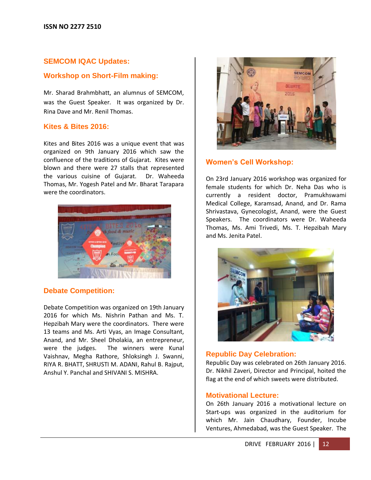### **SEMCOM IQAC Updates:**

### **Workshop on Short-Film making:**

Mr. Sharad Brahmbhatt, an alumnus of SEMCOM, was the Guest Speaker. It was organized by Dr. Rina Dave and Mr. Renil Thomas.

### **Kites & Bites 2016:**

Kites and Bites 2016 was a unique event that was organized on 9th January 2016 which saw the confluence of the traditions of Gujarat. Kites were blown and there were 27 stalls that represented the various cuisine of Gujarat. Dr. Waheeda Thomas, Mr. Yogesh Patel and Mr. Bharat Tarapara were the coordinators.



### **Debate Competition:**

Debate Competition was organized on 19th January 2016 for which Ms. Nishrin Pathan and Ms. T. Hepzibah Mary were the coordinators. There were 13 teams and Ms. Arti Vyas, an Image Consultant, Anand, and Mr. Sheel Dholakia, an entrepreneur, were the judges. The winners were Kunal Vaishnav, Megha Rathore, Shloksingh J. Swanni, RIYA R. BHATT, SHRUSTI M. ADANI, Rahul B. Rajput, Anshul Y. Panchal and SHIVANI S. MISHRA.



### **Women's Cell Workshop:**

On 23rd January 2016 workshop was organized for female students for which Dr. Neha Das who is currently a resident doctor, Pramukhswami Medical College, Karamsad, Anand, and Dr. Rama Shrivastava, Gynecologist, Anand, were the Guest Speakers. The coordinators were Dr. Waheeda Thomas, Ms. Ami Trivedi, Ms. T. Hepzibah Mary and Ms. Jenita Patel.



### **Republic Day Celebration:**

Republic Day was celebrated on 26th January 2016. Dr. Nikhil Zaveri, Director and Principal, hoited the flag at the end of which sweets were distributed.

### **Motivational Lecture:**

On 26th January 2016 a motivational lecture on Start-ups was organized in the auditorium for which Mr. Jain Chaudhary, Founder, Incube Ventures, Ahmedabad, was the Guest Speaker. The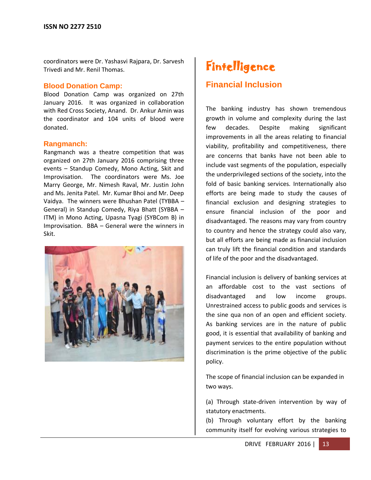coordinators were Dr. Yashasvi Rajpara, Dr. Sarvesh Trivedi and Mr. Renil Thomas.

### **Blood Donation Camp:**

Blood Donation Camp was organized on 27th January 2016. It was organized in collaboration with Red Cross Society, Anand. Dr. Ankur Amin was the coordinator and 104 units of blood were donated.

### **Rangmanch:**

Rangmanch was a theatre competition that was organized on 27th January 2016 comprising three events – Standup Comedy, Mono Acting, Skit and Improvisation. The coordinators were Ms. Joe Marry George, Mr. Nimesh Raval, Mr. Justin John and Ms. Jenita Patel. Mr. Kumar Bhoi and Mr. Deep Vaidya. The winners were Bhushan Patel (TYBBA – General) in Standup Comedy, Riya Bhatt (SYBBA – ITM) in Mono Acting, Upasna Tyagi (SYBCom B) in Improvisation. BBA – General were the winners in Skit.



### **Fintelligence**

### **Financial Inclusion**

The banking industry has shown tremendous growth in volume and complexity during the last few decades. Despite making significant improvements in all the areas relating to financial viability, profitability and competitiveness, there are concerns that banks have not been able to include vast segments of the population, especially the underprivileged sections of the society, into the fold of basic banking services. Internationally also efforts are being made to study the causes of financial exclusion and designing strategies to ensure financial inclusion of the poor and disadvantaged. The reasons may vary from country to country and hence the strategy could also vary, but all efforts are being made as financial inclusion can truly lift the financial condition and standards of life of the poor and the disadvantaged.

Financial inclusion is delivery of banking services at an affordable cost to the vast sections of disadvantaged and low income groups. Unrestrained access to public goods and services is the sine qua non of an open and efficient society. As banking services are in the nature of public good, it is essential that availability of banking and payment services to the entire population without discrimination is the prime objective of the public policy.

The scope of financial inclusion can be expanded in two ways.

(a) Through state-driven intervention by way of statutory enactments.

(b) Through voluntary effort by the banking community itself for evolving various strategies to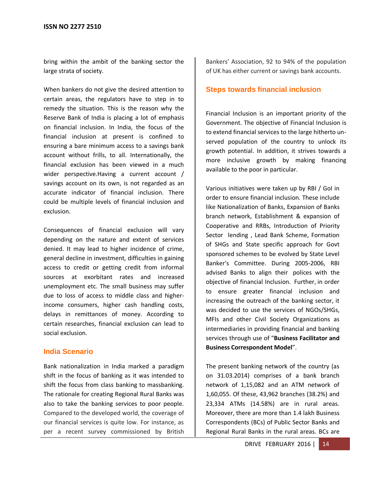bring within the ambit of the banking sector the large strata of society.

When bankers do not give the desired attention to certain areas, the regulators have to step in to remedy the situation. This is the reason why the Reserve Bank of India is placing a lot of emphasis on financial inclusion. In India, the focus of the financial inclusion at present is confined to ensuring a bare minimum access to a savings bank account without frills, to all. Internationally, the financial exclusion has been viewed in a much wider perspective.Having a current account / savings account on its own, is not regarded as an accurate indicator of financial inclusion. There could be multiple levels of financial inclusion and exclusion.

Consequences of financial exclusion will vary depending on the nature and extent of services denied. It may lead to higher incidence of crime, general decline in investment, difficulties in gaining access to credit or getting credit from informal sources at exorbitant rates and increased unemployment etc. The small business may suffer due to loss of access to middle class and higherincome consumers, higher cash handling costs, delays in remittances of money. According to certain researches, financial exclusion can lead to social exclusion.

### **India Scenario**

Bank nationalization in India marked a paradigm shift in the focus of banking as it was intended to shift the focus from class banking to massbanking. The rationale for creating Regional Rural Banks was also to take the banking services to poor people. Compared to the developed world, the coverage of our financial services is quite low. For instance, as per a recent survey commissioned by British Bankers' Association, 92 to 94% of the population of UK has either current or savings bank accounts.

### **Steps towards financial inclusion**

Financial Inclusion is an important priority of the Government. The objective of Financial Inclusion is to extend financial services to the large hitherto unserved population of the country to unlock its growth potential. In addition, it strives towards a more inclusive growth by making financing available to the poor in particular.

Various initiatives were taken up by RBI / GoI in order to ensure financial inclusion. These include like Nationalization of Banks, Expansion of Banks branch network, Establishment & expansion of Cooperative and RRBs, Introduction of Priority Sector lending , Lead Bank Scheme, Formation of SHGs and State specific approach for Govt sponsored schemes to be evolved by State Level Banker's Committee. During 2005-2006, RBI advised Banks to align their polices with the objective of financial Inclusion. Further, in order to ensure greater financial inclusion and increasing the outreach of the banking sector, it was decided to use the services of NGOs/SHGs, MFIs and other Civil Society Organizations as intermediaries in providing financial and banking services through use of "**Business Facilitator and Business Correspondent Model**".

The present banking network of the country (as on 31.03.2014) comprises of a bank branch network of 1,15,082 and an ATM network of 1,60,055. Of these, 43,962 branches (38.2%) and 23,334 ATMs (14.58%) are in rural areas. Moreover, there are more than 1.4 lakh Business Correspondents (BCs) of Public Sector Banks and Regional Rural Banks in the rural areas. BCs are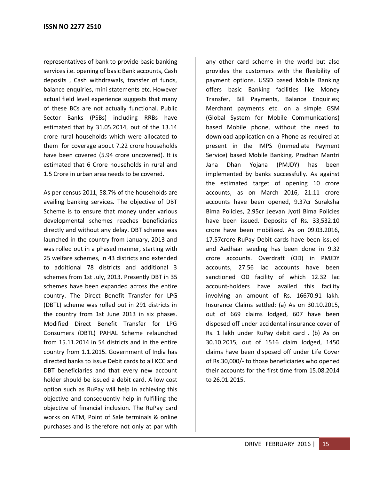representatives of bank to provide basic banking services i.e. opening of basic Bank accounts, Cash deposits , Cash withdrawals, transfer of funds, balance enquiries, mini statements etc. However actual field level experience suggests that many of these BCs are not actually functional. Public Sector Banks (PSBs) including RRBs have estimated that by 31.05.2014, out of the 13.14 crore rural households which were allocated to them for coverage about 7.22 crore households have been covered (5.94 crore uncovered). It is estimated that 6 Crore households in rural and 1.5 Crore in urban area needs to be covered.

As per census 2011, 58.7% of the households are availing banking services. The objective of DBT Scheme is to ensure that money under various developmental schemes reaches beneficiaries directly and without any delay. DBT scheme was launched in the country from January, 2013 and was rolled out in a phased manner, starting with 25 welfare schemes, in 43 districts and extended to additional 78 districts and additional 3 schemes from 1st July, 2013. Presently DBT in 35 schemes have been expanded across the entire country. The Direct Benefit Transfer for LPG (DBTL) scheme was rolled out in 291 districts in the country from 1st June 2013 in six phases. Modified Direct Benefit Transfer for LPG Consumers (DBTL) PAHAL Scheme relaunched from 15.11.2014 in 54 districts and in the entire country from 1.1.2015. Government of India has directed banks to issue Debit cards to all KCC and DBT beneficiaries and that every new account holder should be issued a debit card. A low cost option such as RuPay will help in achieving this objective and consequently help in fulfilling the objective of financial inclusion. The RuPay card works on ATM, Point of Sale terminals & online purchases and is therefore not only at par with

any other card scheme in the world but also provides the customers with the flexibility of payment options. USSD based Mobile Banking offers basic Banking facilities like Money Transfer, Bill Payments, Balance Enquiries; Merchant payments etc. on a simple GSM (Global System for Mobile Communications) based Mobile phone, without the need to download application on a Phone as required at present in the IMPS (Immediate Payment Service) based Mobile Banking. Pradhan Mantri Jana Dhan Yojana (PMJDY) has been implemented by banks successfully. As against the estimated target of opening 10 crore accounts, as on March 2016, 21.11 crore accounts have been opened, 9.37cr Suraksha Bima Policies, 2.95cr Jeevan Jyoti Bima Policies have been issued. Deposits of Rs. 33,532.10 crore have been mobilized. As on 09.03.2016, 17.57crore RuPay Debit cards have been issued and Aadhaar seeding has been done in 9.32 crore accounts. Overdraft (OD) in PMJDY accounts, 27.56 lac accounts have been sanctioned OD facility of which 12.32 lac account-holders have availed this facility involving an amount of Rs. 16670.91 lakh. Insurance Claims settled: (a) As on 30.10.2015, out of 669 claims lodged, 607 have been disposed off under accidental insurance cover of Rs. 1 lakh under RuPay debit card . (b) As on 30.10.2015, out of 1516 claim lodged, 1450 claims have been disposed off under Life Cover of Rs.30,000/- to those beneficiaries who opened their accounts for the first time from 15.08.2014 to 26.01.2015.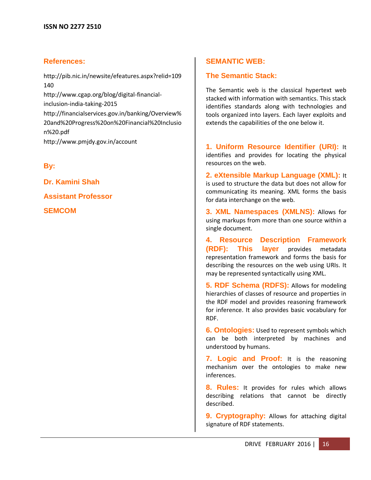### **References:**

[http://pib.nic.in/newsite/efeatures.aspx?relid=109](http://pib.nic.in/newsite/efeatures.aspx?relid=109140) [140](http://pib.nic.in/newsite/efeatures.aspx?relid=109140) [http://www.cgap.org/blog/digital-financial](http://www.cgap.org/blog/digital-financial-inclusion-india-taking-2015)[inclusion-india-taking-2015](http://www.cgap.org/blog/digital-financial-inclusion-india-taking-2015) [http://financialservices.gov.in/banking/Overview%](http://financialservices.gov.in/banking/Overview%20and%20Progress%20on%20Financial%20Inclusion%20.pdf) [20and%20Progress%20on%20Financial%20Inclusio](http://financialservices.gov.in/banking/Overview%20and%20Progress%20on%20Financial%20Inclusion%20.pdf) [n%20.pdf](http://financialservices.gov.in/banking/Overview%20and%20Progress%20on%20Financial%20Inclusion%20.pdf) http://www.pmjdy.gov.in/account

**By:**

**Dr. Kamini Shah**

**Assistant Professor**

**SEMCOM**

### **SEMANTIC WEB:**

### **The Semantic Stack:**

The Semantic web is the classical hypertext web stacked with information with semantics. This stack identifies standards along with technologies and tools organized into layers. Each layer exploits and extends the capabilities of the one below it.

**1. Uniform Resource Identifier (URI):** It identifies and provides for locating the physical resources on the web.

**2. eXtensible Markup Language (XML):** It is used to structure the data but does not allow for communicating its meaning. XML forms the basis for data interchange on the web.

**3. XML Namespaces (XMLNS):** Allows for using markups from more than one source within a single document.

**4. Resource Description Framework (RDF): This layer** provides metadata representation framework and forms the basis for describing the resources on the web using URIs. It may be represented syntactically using XML.

**5. RDF Schema (RDFS):** Allows for modeling hierarchies of classes of resource and properties in the RDF model and provides reasoning framework for inference. It also provides basic vocabulary for RDF.

**6. Ontologies:** Used to represent symbols which can be both interpreted by machines and understood by humans.

**7. Logic and Proof:** It is the reasoning mechanism over the ontologies to make new inferences.

**8. Rules:** It provides for rules which allows describing relations that cannot be directly described.

**9. Cryptography:** Allows for attaching digital signature of RDF statements.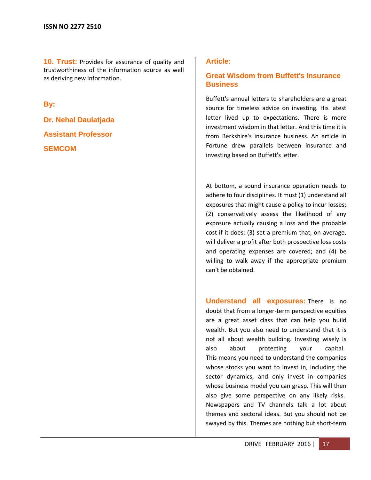**10. Trust:** Provides for assurance of quality and trustworthiness of the information source as well as deriving new information.

**By:**

**Dr. Nehal Daulatjada Assistant Professor SEMCOM**

### **Article:**

### **Great Wisdom from Buffett's Insurance Business**

Buffett's annual letters to shareholders are a great source for timeless advice on investing. His latest letter lived up to expectations. There is more investment wisdom in that letter. And this time it is from Berkshire's insurance business. An article in Fortune drew parallels between insurance and investing based on Buffett's letter.

At bottom, a sound insurance operation needs to adhere to four disciplines. It must (1) understand all exposures that might cause a policy to incur losses; (2) conservatively assess the likelihood of any exposure actually causing a loss and the probable cost if it does; (3) set a premium that, on average, will deliver a profit after both prospective loss costs and operating expenses are covered; and (4) be willing to walk away if the appropriate premium can't be obtained.

**Understand all exposures:** There is no doubt that from a longer-term perspective equities are a great asset class that can help you build wealth. But you also need to understand that it is not all about wealth building. Investing wisely is also about protecting your capital. This means you need to understand the companies whose stocks you want to invest in, including the sector dynamics, and only invest in companies whose business model you can grasp. This will then also give some perspective on any likely risks. Newspapers and TV channels talk a lot about themes and sectoral ideas. But you should not be swayed by this. Themes are nothing but short-term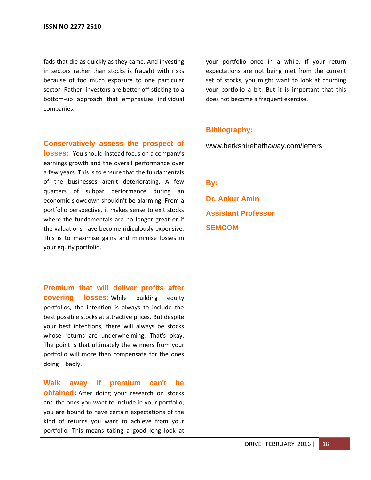fads that die as quickly as they came. And investing in sectors rather than stocks is fraught with risks because of too much exposure to one particular sector. Rather, investors are better off sticking to a bottom-up approach that emphasises individual companies.

**Conservatively assess the prospect of** 

**losses:** You should instead focus on a company's earnings growth and the overall performance over a few years. This is to ensure that the fundamentals of the businesses aren't deteriorating. A few quarters of subpar performance during an economic slowdown shouldn't be alarming. From a portfolio perspective, it makes sense to exit stocks where the fundamentals are no longer great or if the valuations have become ridiculously expensive. This is to maximise gains and minimise losses in your equity portfolio.

**Premium that will deliver profits after covering losses:** While building equity portfolios, the intention is always to include the best possible stocks at attractive prices. But despite your best intentions, there will always be stocks whose returns are underwhelming. That's okay. The point is that ultimately the winners from your portfolio will more than compensate for the ones doing badly.

**Walk away if premium can't be obtained:** After doing your research on stocks and the ones you want to include in your portfolio, you are bound to have certain expectations of the kind of returns you want to achieve from your portfolio. This means taking a good long look at your portfolio once in a while. If your return expectations are not being met from the current set of stocks, you might want to look at churning your portfolio a bit. But it is important that this does not become a frequent exercise.

### **Bibliography:**

www.berkshirehathaway.com/letters

**By:**

**Dr. Ankur Amin Assistant Professor SEMCOM**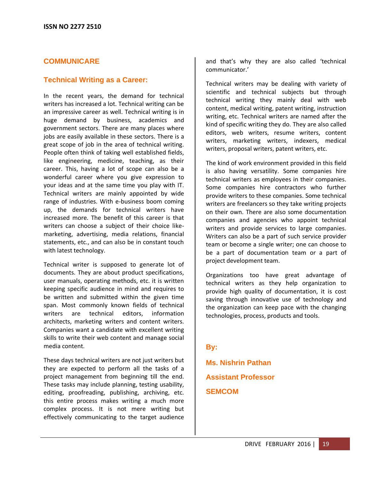### **COMMUNICARE**

### **Technical Writing as a Career:**

In the recent years, the demand for technical writers has increased a lot. Technical writing can be an impressive career as well. Technical writing is in huge demand by business, academics and government sectors. There are many places where jobs are easily available in these sectors. There is a great scope of job in the area of technical writing. People often think of taking well established fields, like engineering, medicine, teaching, as their career. This, having a lot of scope can also be a wonderful career where you give expression to your ideas and at the same time you play with IT. Technical writers are mainly appointed by wide range of industries. With e-business boom coming up, the demands for technical writers have increased more. The benefit of this career is that writers can choose a subject of their choice likemarketing, advertising, media relations, financial statements, etc., and can also be in constant touch with latest technology.

Technical writer is supposed to generate lot of documents. They are about product specifications, user manuals, operating methods, etc. it is written keeping specific audience in mind and requires to be written and submitted within the given time span. Most commonly known fields of technical writers are technical editors, information architects, marketing writers and content writers. Companies want a candidate with excellent writing skills to write their web content and manage social media content.

These days technical writers are not just writers but they are expected to perform all the tasks of a project management from beginning till the end. These tasks may include planning, testing usability, editing, proofreading, publishing, archiving, etc. this entire process makes writing a much more complex process. It is not mere writing but effectively communicating to the target audience and that's why they are also called 'technical communicator.'

Technical writers may be dealing with variety of scientific and technical subjects but through technical writing they mainly deal with web content, medical writing, patent writing, instruction writing, etc. Technical writers are named after the kind of specific writing they do. They are also called editors, web writers, resume writers, content writers, marketing writers, indexers, medical writers, proposal writers, patent writers, etc.

The kind of work environment provided in this field is also having versatility. Some companies hire technical writers as employees in their companies. Some companies hire contractors who further provide writers to these companies. Some technical writers are freelancers so they take writing projects on their own. There are also some documentation companies and agencies who appoint technical writers and provide services to large companies. Writers can also be a part of such service provider team or become a single writer; one can choose to be a part of documentation team or a part of project development team.

Organizations too have great advantage of technical writers as they help organization to provide high quality of documentation, it is cost saving through innovative use of technology and the organization can keep pace with the changing technologies, process, products and tools.

### **By:**

**Ms. Nishrin Pathan Assistant Professor SEMCOM**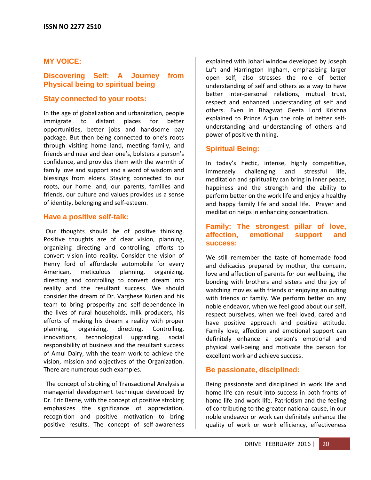### **MY VOICE:**

### **Discovering Self: A Journey from Physical being to spiritual being**

### **Stay connected to your roots:**

In the age of globalization and urbanization, people immigrate to distant places for better opportunities, better jobs and handsome pay package. But then being connected to one's roots through visiting home land, meeting family, and friends and near and dear one's, bolsters a person's confidence, and provides them with the warmth of family love and support and a word of wisdom and blessings from elders. Staying connected to our roots, our home land, our parents, families and friends, our culture and values provides us a sense of identity, belonging and self-esteem.

### **Have a positive self-talk:**

Our thoughts should be of positive thinking. Positive thoughts are of clear vision, planning, organizing directing and controlling, efforts to convert vision into reality. Consider the vision of Henry ford of affordable automobile for every American, meticulous planning, organizing, directing and controlling to convert dream into reality and the resultant success. We should consider the dream of Dr. Varghese Kurien and his team to bring prosperity and self-dependence in the lives of rural households, milk producers, his efforts of making his dream a reality with proper planning, organizing, directing, Controlling, innovations, technological upgrading, social responsibility of business and the resultant success of Amul Dairy, with the team work to achieve the vision, mission and objectives of the Organization. There are numerous such examples.

The concept of stroking of Transactional Analysis a managerial development technique developed by Dr. Eric Berne, with the concept of positive stroking emphasizes the significance of appreciation, recognition and positive motivation to bring positive results. The concept of self-awareness explained with Johari window developed by Joseph Luft and Harrington Ingham, emphasizing larger open self, also stresses the role of better understanding of self and others as a way to have better inter-personal relations, mutual trust, respect and enhanced understanding of self and others. Even in Bhagwat Geeta Lord Krishna explained to Prince Arjun the role of better selfunderstanding and understanding of others and power of positive thinking.

### **Spiritual Being:**

In today's hectic, intense, highly competitive, immensely challenging and stressful life, meditation and spirituality can bring in inner peace, happiness and the strength and the ability to perform better on the work life and enjoy a healthy and happy family life and social life. Prayer and meditation helps in enhancing concentration.

### **Family: The strongest pillar of love, affection, emotional support and success:**

We still remember the taste of homemade food and delicacies prepared by mother, the concern, love and affection of parents for our wellbeing, the bonding with brothers and sisters and the joy of watching movies with friends or enjoying an outing with friends or family. We perform better on any noble endeavor, when we feel good about our self, respect ourselves, when we feel loved, cared and have positive approach and positive attitude. Family love, affection and emotional support can definitely enhance a person's emotional and physical well-being and motivate the person for excellent work and achieve success.

### **Be passionate, disciplined:**

Being passionate and disciplined in work life and home life can result into success in both fronts of home life and work life. Patriotism and the feeling of contributing to the greater national cause, in our noble endeavor or work can definitely enhance the quality of work or work efficiency, effectiveness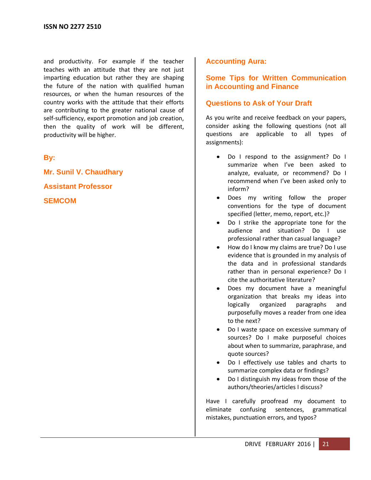and productivity. For example if the teacher teaches with an attitude that they are not just imparting education but rather they are shaping the future of the nation with qualified human resources, or when the human resources of the country works with the attitude that their efforts are contributing to the greater national cause of self-sufficiency, export promotion and job creation, then the quality of work will be different, productivity will be higher.

**By:**

**Mr. Sunil V. Chaudhary Assistant Professor SEMCOM**

### **Accounting Aura:**

### **Some Tips for Written Communication in Accounting and Finance**

### **Questions to Ask of Your Draft**

As you write and receive feedback on your papers, consider asking the following questions (not all questions are applicable to all types of assignments):

- Do I respond to the assignment? Do I summarize when I've been asked to analyze, evaluate, or recommend? Do I recommend when I've been asked only to inform?
- Does my writing follow the proper conventions for the type of document specified (letter, memo, report, etc.)?
- Do I strike the appropriate tone for the audience and situation? Do I use professional rather than casual language?
- How do I know my claims are true? Do I use evidence that is grounded in my analysis of the data and in professional standards rather than in personal experience? Do I cite the authoritative literature?
- Does my document have a meaningful organization that breaks my ideas into logically organized paragraphs and purposefully moves a reader from one idea to the next?
- Do I waste space on excessive summary of sources? Do I make purposeful choices about when to summarize, paraphrase, and quote sources?
- Do I effectively use tables and charts to summarize complex data or findings?
- Do I distinguish my ideas from those of the authors/theories/articles I discuss?

Have I carefully proofread my document to eliminate confusing sentences, grammatical mistakes, punctuation errors, and typos?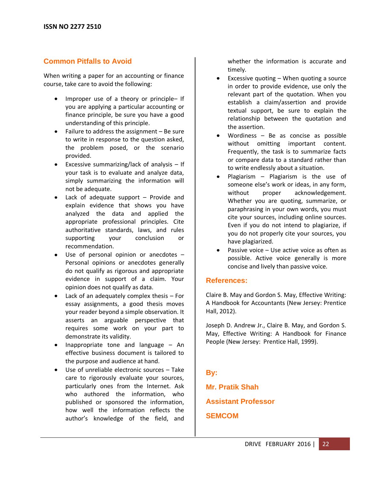### **Common Pitfalls to Avoid**

When writing a paper for an accounting or finance course, take care to avoid the following:

- Improper use of a theory or principle– If you are applying a particular accounting or finance principle, be sure you have a good understanding of this principle.
- $\bullet$  Failure to address the assignment Be sure to write in response to the question asked, the problem posed, or the scenario provided.
- Excessive summarizing/lack of analysis  $-$  If your task is to evaluate and analyze data, simply summarizing the information will not be adequate.
- Lack of adequate support Provide and explain evidence that shows you have analyzed the data and applied the appropriate professional principles. Cite authoritative standards, laws, and rules supporting your conclusion or recommendation.
- Use of personal opinion or anecdotes Personal opinions or anecdotes generally do not qualify as rigorous and appropriate evidence in support of a claim. Your opinion does not qualify as data.
- Lack of an adequately complex thesis For essay assignments, a good thesis moves your reader beyond a simple observation. It asserts an arguable perspective that requires some work on your part to demonstrate its validity.
- Inappropriate tone and language An effective business document is tailored to the purpose and audience at hand.
- Use of unreliable electronic sources Take care to rigorously evaluate your sources, particularly ones from the Internet. Ask who authored the information, who published or sponsored the information, how well the information reflects the author's knowledge of the field, and

whether the information is accurate and timely.

- Excessive quoting When quoting a source in order to provide evidence, use only the relevant part of the quotation. When you establish a claim/assertion and provide textual support, be sure to explain the relationship between the quotation and the assertion.
- Wordiness Be as concise as possible without omitting important content. Frequently, the task is to summarize facts or compare data to a standard rather than to write endlessly about a situation.
- Plagiarism Plagiarism is the use of someone else's work or ideas, in any form, without proper acknowledgement. Whether you are quoting, summarize, or paraphrasing in your own words, you must cite your sources, including online sources. Even if you do not intend to plagiarize, if you do not properly cite your sources, you have plagiarized.
- Passive voice Use active voice as often as possible. Active voice generally is more concise and lively than passive voice.

### **References:**

Claire B. May and Gordon S. May, Effective Writing: A Handbook for Accountants (New Jersey: Prentice Hall, 2012).

Joseph D. Andrew Jr., Claire B. May, and Gordon S. May, Effective Writing: A Handbook for Finance People (New Jersey: Prentice Hall, 1999).

### **By:**

**Mr. Pratik Shah Assistant Professor SEMCOM**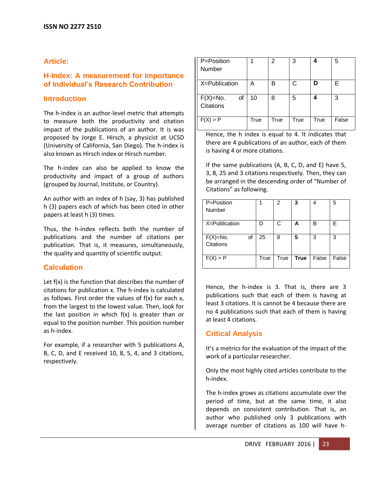### **Article:**

### **H-Index: A measurement for Importance of Individual's Research Contribution**

### **Introduction**

The h-index is an author-level metric that attempts to measure both the productivity and citation impact of the publications of an author. It is was proposed by Jorge E. Hirsch, a physicist at UCSD (University of California, San Diego). The h-index is also known as Hirsch index or Hirsch number.

The h-index can also be applied to know the productivity and impact of a group of authors (grouped by Journal, Institute, or Country).

An author with an index of h (say, 3) has published h (3) papers each of which has been cited in other papers at least h (3) times.

Thus, the h-index reflects both the number of publications and the number of citations per publication. That is, it measures, simultaneously, the quality and quantity of scientific output.

### **Calculation**

Let f(x) is the function that describes the number of citations for publication x. The h-index is calculated as follows. First order the values of  $f(x)$  for each x, from the largest to the lowest value. Then, look for the last position in which  $f(x)$  is greater than or equal to the position number. This position number as h-index.

For example, if a researcher with 5 publications A, B, C, D, and E received 10, 8, 5, 4, and 3 citations, respectively.

| P=Position<br><b>Number</b>          |      | 2    | 3    | 4    | 5     |
|--------------------------------------|------|------|------|------|-------|
| X=Publication                        | А    | B    | С    | D    | Е     |
| $F(X)=No.$<br>οf<br><b>Citations</b> | 10   | 8    | 5    |      | 3     |
| F(X) > P                             | True | True | True | True | False |

Hence, the h index is equal to 4. It indicates that there are 4 publications of an author, each of them is having 4 or more citations.

If the same publications (A, B, C, D, and E) have 5, 3, 8, 25 and 3 citations respectively. Then, they can be arranged in the descending order of "Number of Citations" as following.

| P=Position<br>Number                 |      | 2    | 3           |       | 5     |
|--------------------------------------|------|------|-------------|-------|-------|
| X=Publication                        |      | С    | Α           | в     | E     |
| $F(X)=No.$<br>οf<br><b>Citations</b> | 25   | 8    | 5           | 3     | 3     |
| F(X) > P                             | True | True | <b>True</b> | False | False |

Hence, the h-index is 3. That is, there are 3 publications such that each of them is having at least 3 citations. It is cannot be 4 because there are no 4 publications such that each of them is having at least 4 citations.

### **Critical Analysis**

It's a metrics for the evaluation of the impact of the work of a particular researcher.

Only the most highly cited articles contribute to the h-index.

The h-index grows as citations accumulate over the period of time, but at the same time, it also depends on consistent contribution. That is, an author who published only 3 publications with average number of citations as 100 will have h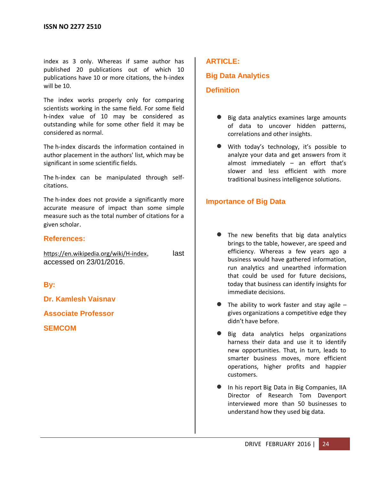index as 3 only. Whereas if same author has published 20 publications out of which 10 publications have 10 or more citations, the h-index will be 10.

The index works properly only for comparing scientists working in the same field. For some field h-index value of 10 may be considered as outstanding while for some other field it may be considered as normal.

The h-index discards the information contained in author placement in the authors' list, which may be significant in some scientific fields.

The h-index can be manipulated through selfcitations.

The h-index does not provide a significantly more accurate measure of impact than some simple measure such as the total number of citations for a given scholar.

### **References:**

<https://en.wikipedia.org/wiki/H-index>, last accessed on 23/01/2016.

**By:**

**Dr. Kamlesh Vaisnav**

**Associate Professor**

**SEMCOM**

### **ARTICLE:**

### **Big Data Analytics**

### **Definition**

- Big data analytics examines large amounts of data to uncover hidden patterns, correlations and other insights.
- With today's technology, it's possible to analyze your data and get answers from it almost immediately – an effort that's slower and less efficient with more traditional business intelligence solutions.

### **Importance of Big Data**

- The new benefits that big data analytics brings to the table, however, are speed and efficiency. Whereas a few years ago a business would have gathered information, run analytics and unearthed information that could be used for future decisions, today that business can identify insights for immediate decisions.
- The ability to work faster and stay agile  $$ gives organizations a competitive edge they didn't have before.
- Big data analytics helps organizations harness their data and use it to identify new opportunities. That, in turn, leads to smarter business moves, more efficient operations, higher profits and happier customers.
- In his report Big Data in Big Companies, IIA Director of Research Tom Davenport interviewed more than 50 businesses to understand how they used big data.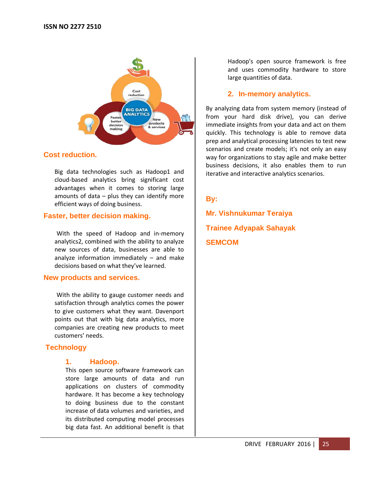

### **Cost reduction.**

Big data technologies such as Hadoop1 and cloud-based analytics bring significant cost advantages when it comes to storing large amounts of data  $-$  plus they can identify more efficient ways of doing business.

### **Faster, better decision making.**

With the speed of Hadoop and in-memory analytics2, combined with the ability to analyze new sources of data, businesses are able to analyze information immediately – and make decisions based on what they've learned.

### **New products and services.**

With the ability to gauge customer needs and satisfaction through analytics comes the power to give customers what they want. Davenport points out that with big data analytics, more companies are creating new products to meet customers' needs.

### **Technology**

### **1. Hadoop.**

This open source software framework can store large amounts of data and run applications on clusters of commodity hardware. It has become a key technology to doing business due to the constant increase of data volumes and varieties, and its distributed computing model processes big data fast. An additional benefit is that Hadoop's open source framework is free and uses commodity hardware to store large quantities of data.

### **2. In-memory analytics.**

By analyzing data from system memory (instead of from your hard disk drive), you can derive immediate insights from your data and act on them quickly. This technology is able to remove data prep and analytical processing latencies to test new scenarios and create models; it's not only an easy way for organizations to stay agile and make better business decisions, it also enables them to run iterative and interactive analytics scenarios.

### **By:**

**Mr. Vishnukumar Teraiya Trainee Adyapak Sahayak SEMCOM**